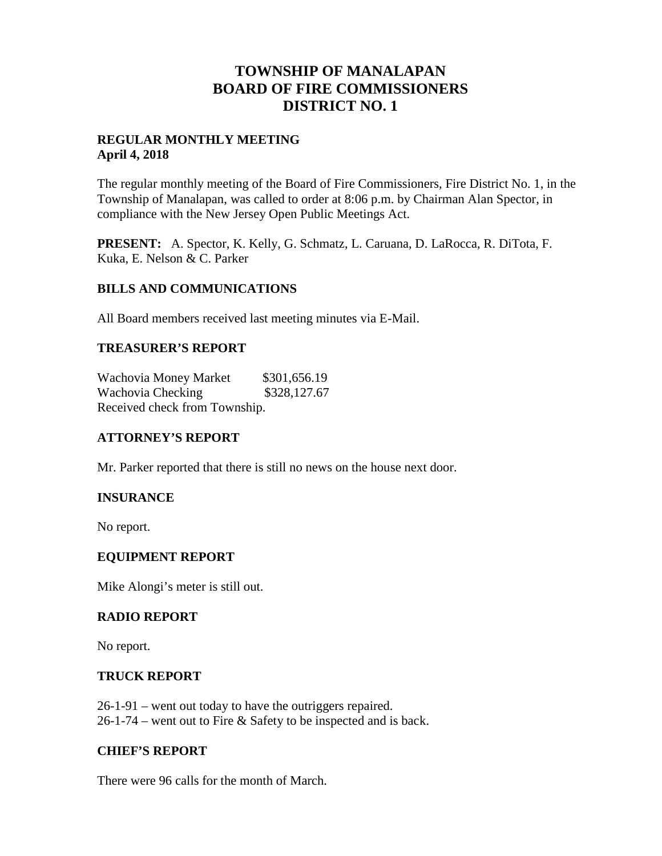# **TOWNSHIP OF MANALAPAN BOARD OF FIRE COMMISSIONERS DISTRICT NO. 1**

### **REGULAR MONTHLY MEETING April 4, 2018**

The regular monthly meeting of the Board of Fire Commissioners, Fire District No. 1, in the Township of Manalapan, was called to order at 8:06 p.m. by Chairman Alan Spector, in compliance with the New Jersey Open Public Meetings Act.

**PRESENT:** A. Spector, K. Kelly, G. Schmatz, L. Caruana, D. LaRocca, R. DiTota, F. Kuka, E. Nelson & C. Parker

### **BILLS AND COMMUNICATIONS**

All Board members received last meeting minutes via E-Mail.

## **TREASURER'S REPORT**

Wachovia Money Market \$301,656.19 Wachovia Checking \$328,127.67 Received check from Township.

# **ATTORNEY'S REPORT**

Mr. Parker reported that there is still no news on the house next door.

### **INSURANCE**

No report.

### **EQUIPMENT REPORT**

Mike Alongi's meter is still out.

### **RADIO REPORT**

No report.

### **TRUCK REPORT**

26-1-91 – went out today to have the outriggers repaired. 26-1-74 – went out to Fire & Safety to be inspected and is back.

### **CHIEF'S REPORT**

There were 96 calls for the month of March.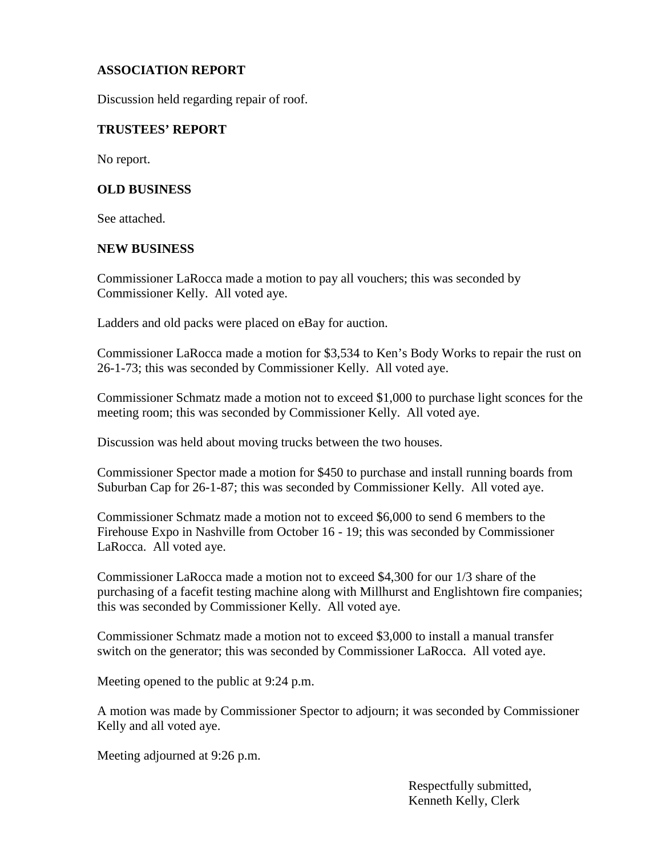# **ASSOCIATION REPORT**

Discussion held regarding repair of roof.

#### **TRUSTEES' REPORT**

No report.

#### **OLD BUSINESS**

See attached.

#### **NEW BUSINESS**

Commissioner LaRocca made a motion to pay all vouchers; this was seconded by Commissioner Kelly. All voted aye.

Ladders and old packs were placed on eBay for auction.

Commissioner LaRocca made a motion for \$3,534 to Ken's Body Works to repair the rust on 26-1-73; this was seconded by Commissioner Kelly. All voted aye.

Commissioner Schmatz made a motion not to exceed \$1,000 to purchase light sconces for the meeting room; this was seconded by Commissioner Kelly. All voted aye.

Discussion was held about moving trucks between the two houses.

Commissioner Spector made a motion for \$450 to purchase and install running boards from Suburban Cap for 26-1-87; this was seconded by Commissioner Kelly. All voted aye.

Commissioner Schmatz made a motion not to exceed \$6,000 to send 6 members to the Firehouse Expo in Nashville from October 16 - 19; this was seconded by Commissioner LaRocca. All voted aye.

Commissioner LaRocca made a motion not to exceed \$4,300 for our 1/3 share of the purchasing of a facefit testing machine along with Millhurst and Englishtown fire companies; this was seconded by Commissioner Kelly. All voted aye.

Commissioner Schmatz made a motion not to exceed \$3,000 to install a manual transfer switch on the generator; this was seconded by Commissioner LaRocca. All voted aye.

Meeting opened to the public at 9:24 p.m.

A motion was made by Commissioner Spector to adjourn; it was seconded by Commissioner Kelly and all voted aye.

Meeting adjourned at 9:26 p.m.

Respectfully submitted, Kenneth Kelly, Clerk